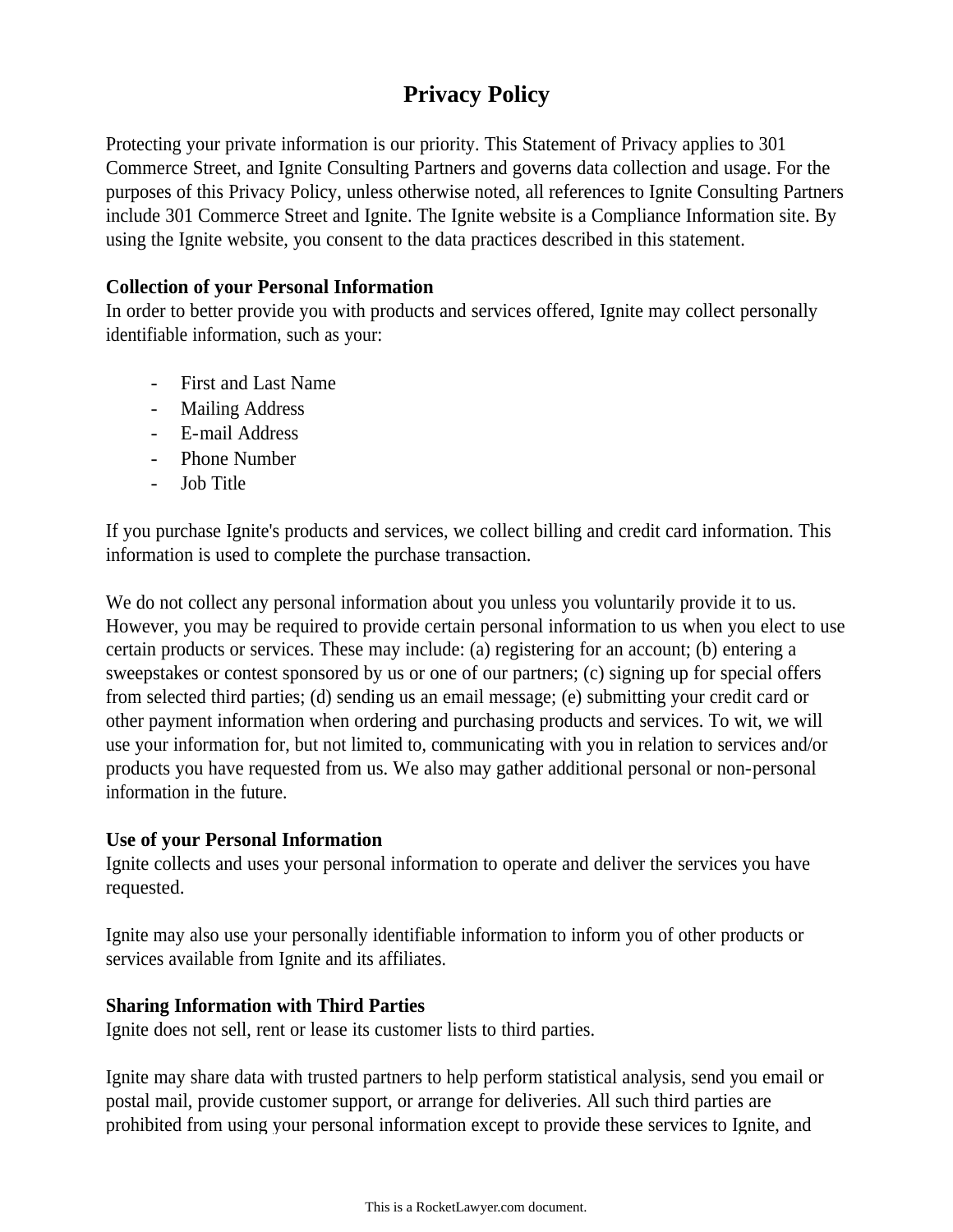# **Privacy Policy**

Protecting your private information is our priority. This Statement of Privacy applies to 301 Commerce Street, and Ignite Consulting Partners and governs data collection and usage. For the purposes of this Privacy Policy, unless otherwise noted, all references to Ignite Consulting Partners include 301 Commerce Street and Ignite. The Ignite website is a Compliance Information site. By using the Ignite website, you consent to the data practices described in this statement.

#### **Collection of your Personal Information**

In order to better provide you with products and services offered, Ignite may collect personally identifiable information, such as your:

- First and Last Name
- Mailing Address
- E-mail Address
- Phone Number
- Job Title

If you purchase Ignite's products and services, we collect billing and credit card information. This information is used to complete the purchase transaction.

We do not collect any personal information about you unless you voluntarily provide it to us. However, you may be required to provide certain personal information to us when you elect to use certain products or services. These may include: (a) registering for an account; (b) entering a sweepstakes or contest sponsored by us or one of our partners; (c) signing up for special offers from selected third parties; (d) sending us an email message; (e) submitting your credit card or other payment information when ordering and purchasing products and services. To wit, we will use your information for, but not limited to, communicating with you in relation to services and/or products you have requested from us. We also may gather additional personal or non-personal information in the future.

## **Use of your Personal Information**

Ignite collects and uses your personal information to operate and deliver the services you have requested.

Ignite may also use your personally identifiable information to inform you of other products or services available from Ignite and its affiliates.

## **Sharing Information with Third Parties**

Ignite does not sell, rent or lease its customer lists to third parties.

Ignite may share data with trusted partners to help perform statistical analysis, send you email or postal mail, provide customer support, or arrange for deliveries. All such third parties are prohibited from using your personal information except to provide these services to Ignite, and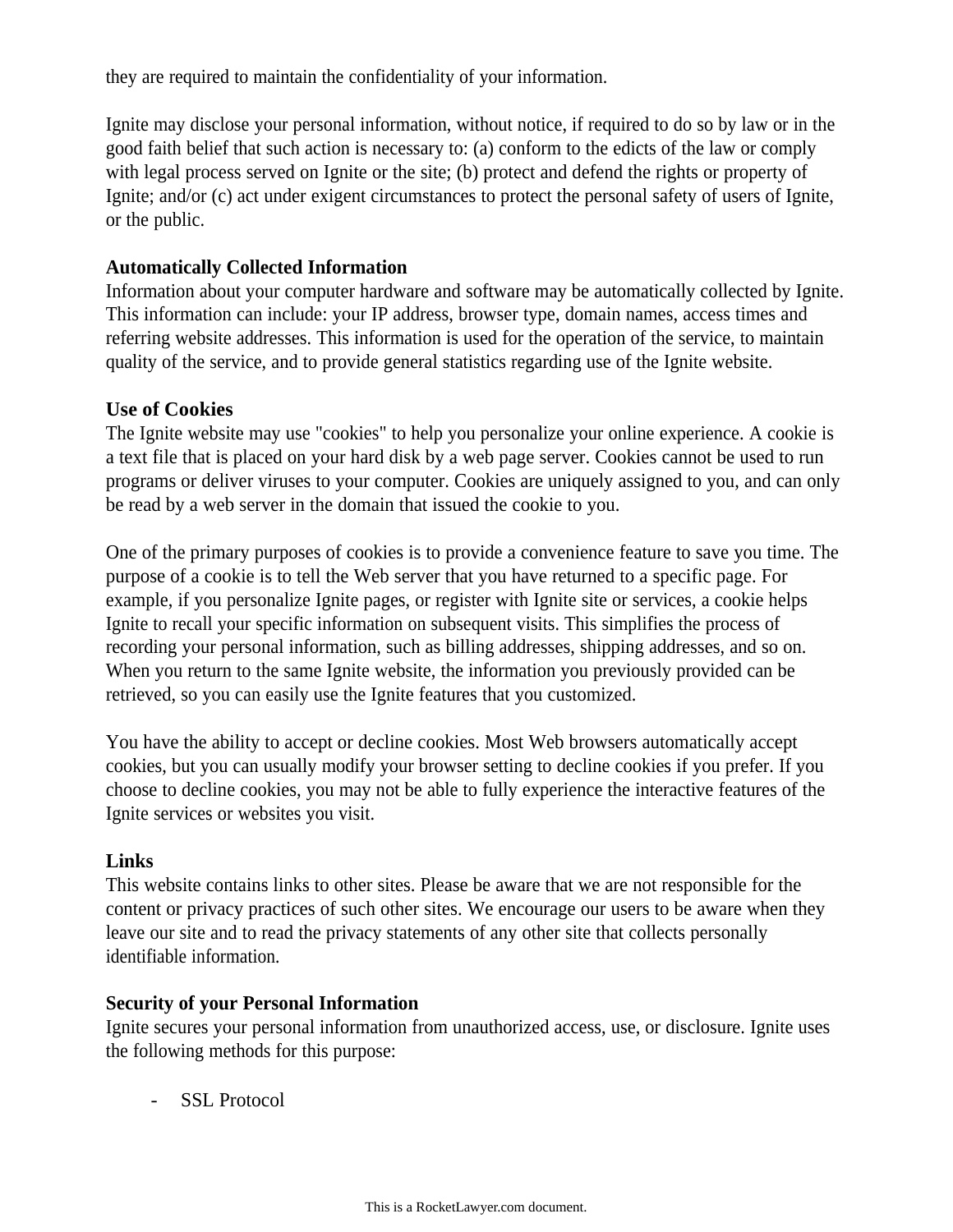they are required to maintain the confidentiality of your information.

Ignite may disclose your personal information, without notice, if required to do so by law or in the good faith belief that such action is necessary to: (a) conform to the edicts of the law or comply with legal process served on Ignite or the site; (b) protect and defend the rights or property of Ignite; and/or (c) act under exigent circumstances to protect the personal safety of users of Ignite, or the public.

#### **Automatically Collected Information**

Information about your computer hardware and software may be automatically collected by Ignite. This information can include: your IP address, browser type, domain names, access times and referring website addresses. This information is used for the operation of the service, to maintain quality of the service, and to provide general statistics regarding use of the Ignite website.

#### **Use of Cookies**

The Ignite website may use "cookies" to help you personalize your online experience. A cookie is a text file that is placed on your hard disk by a web page server. Cookies cannot be used to run programs or deliver viruses to your computer. Cookies are uniquely assigned to you, and can only be read by a web server in the domain that issued the cookie to you.

One of the primary purposes of cookies is to provide a convenience feature to save you time. The purpose of a cookie is to tell the Web server that you have returned to a specific page. For example, if you personalize Ignite pages, or register with Ignite site or services, a cookie helps Ignite to recall your specific information on subsequent visits. This simplifies the process of recording your personal information, such as billing addresses, shipping addresses, and so on. When you return to the same Ignite website, the information you previously provided can be retrieved, so you can easily use the Ignite features that you customized.

You have the ability to accept or decline cookies. Most Web browsers automatically accept cookies, but you can usually modify your browser setting to decline cookies if you prefer. If you choose to decline cookies, you may not be able to fully experience the interactive features of the Ignite services or websites you visit.

#### **Links**

This website contains links to other sites. Please be aware that we are not responsible for the content or privacy practices of such other sites. We encourage our users to be aware when they leave our site and to read the privacy statements of any other site that collects personally identifiable information.

## **Security of your Personal Information**

Ignite secures your personal information from unauthorized access, use, or disclosure. Ignite uses the following methods for this purpose:

- SSL Protocol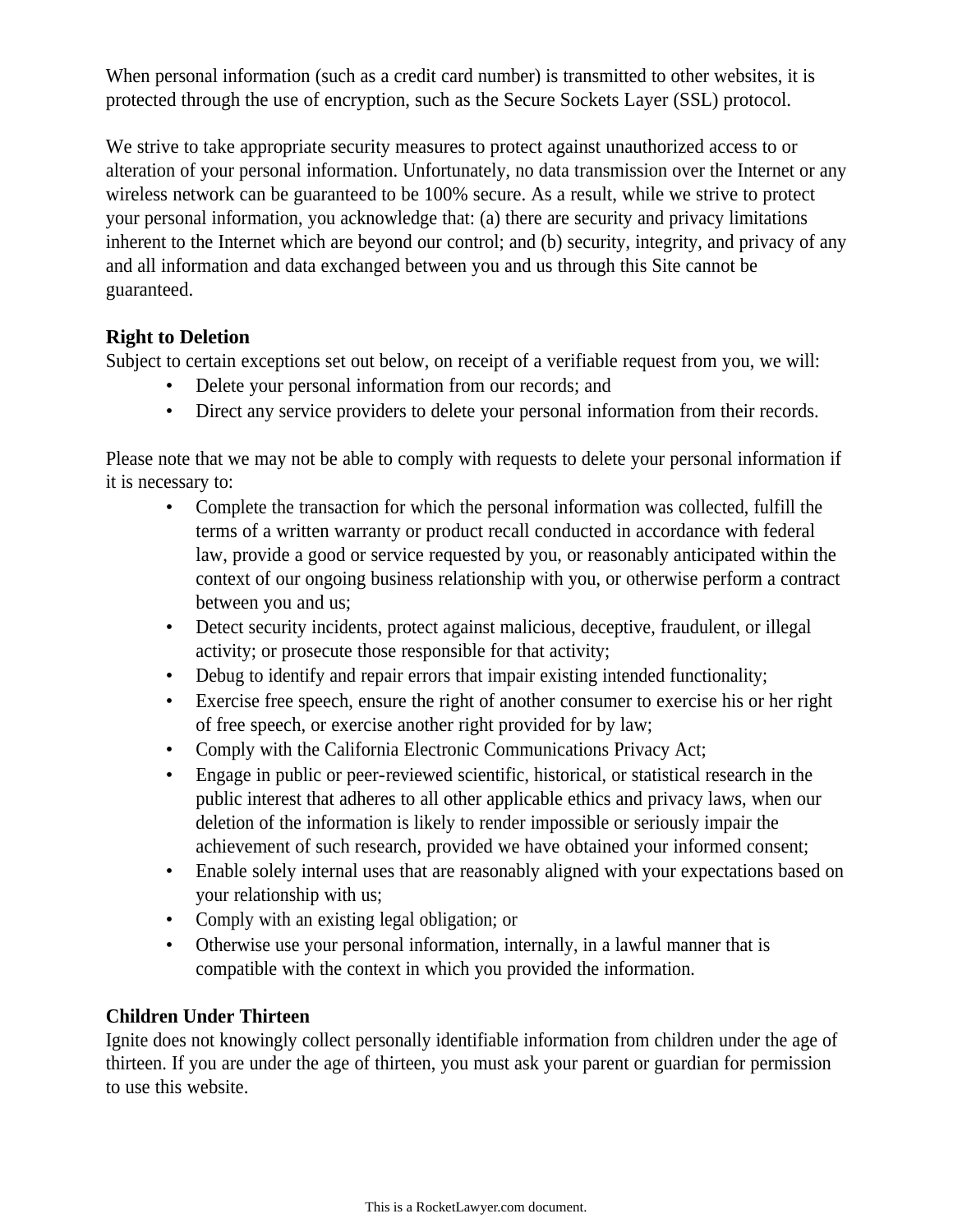When personal information (such as a credit card number) is transmitted to other websites, it is protected through the use of encryption, such as the Secure Sockets Layer (SSL) protocol.

We strive to take appropriate security measures to protect against unauthorized access to or alteration of your personal information. Unfortunately, no data transmission over the Internet or any wireless network can be guaranteed to be 100% secure. As a result, while we strive to protect your personal information, you acknowledge that: (a) there are security and privacy limitations inherent to the Internet which are beyond our control; and (b) security, integrity, and privacy of any and all information and data exchanged between you and us through this Site cannot be guaranteed.

# **Right to Deletion**

Subject to certain exceptions set out below, on receipt of a verifiable request from you, we will:

- Delete your personal information from our records; and
- Direct any service providers to delete your personal information from their records.

Please note that we may not be able to comply with requests to delete your personal information if it is necessary to:

- Complete the transaction for which the personal information was collected, fulfill the terms of a written warranty or product recall conducted in accordance with federal law, provide a good or service requested by you, or reasonably anticipated within the context of our ongoing business relationship with you, or otherwise perform a contract between you and us;
- Detect security incidents, protect against malicious, deceptive, fraudulent, or illegal activity; or prosecute those responsible for that activity;
- Debug to identify and repair errors that impair existing intended functionality;
- Exercise free speech, ensure the right of another consumer to exercise his or her right of free speech, or exercise another right provided for by law;
- Comply with the California Electronic Communications Privacy Act;
- Engage in public or peer-reviewed scientific, historical, or statistical research in the public interest that adheres to all other applicable ethics and privacy laws, when our deletion of the information is likely to render impossible or seriously impair the achievement of such research, provided we have obtained your informed consent;
- Enable solely internal uses that are reasonably aligned with your expectations based on your relationship with us;
- Comply with an existing legal obligation; or
- Otherwise use your personal information, internally, in a lawful manner that is compatible with the context in which you provided the information.

## **Children Under Thirteen**

Ignite does not knowingly collect personally identifiable information from children under the age of thirteen. If you are under the age of thirteen, you must ask your parent or guardian for permission to use this website.